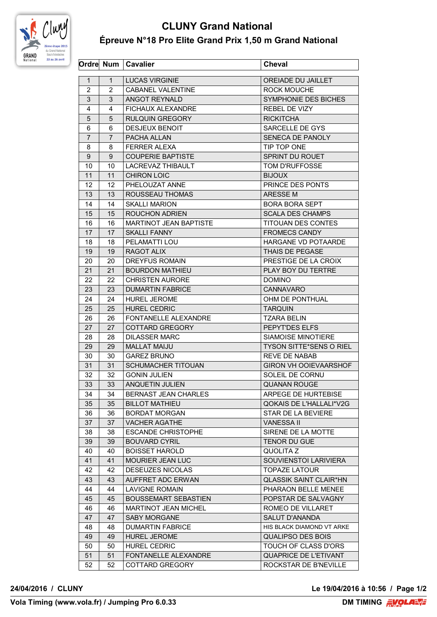

## **CLUNY Grand National Épreuve N°18 Pro Elite Grand Prix 1,50 m Grand National**

| $\mathbf{1}$<br><b>LUCAS VIRGINIE</b><br>OREIADE DU JAILLET<br>$\mathbf 1$<br>2<br><b>CABANEL VALENTINE</b><br>2<br>ROCK MOUCHE<br>3<br>3<br>ANGOT REYNALD<br>SYMPHONIE DES BICHES<br><b>FICHAUX ALEXANDRE</b><br><b>REBEL DE VIZY</b><br>4<br>4<br><b>RULQUIN GREGORY</b><br><b>RICKITCHA</b><br>5<br>5<br>SARCELLE DE GYS<br><b>DESJEUX BENOIT</b><br>6<br>6<br>$\overline{7}$<br>SENECA DE PANOLY<br>$\overline{7}$<br>PACHA ALLAN<br><b>FERRER ALEXA</b><br>TIP TOP ONE<br>8<br>8<br>$\boldsymbol{9}$<br>9<br><b>COUPERIE BAPTISTE</b><br>SPRINT DU ROUET<br>10<br>10<br>LACREVAZ THIBAULT<br><b>TOM D'RUFFOSSE</b><br>11<br><b>CHIRON LOIC</b><br>11<br><b>BIJOUX</b><br>12<br>12<br>PHELOUZAT ANNE<br>PRINCE DES PONTS<br>13<br>ROUSSEAU THOMAS<br>ARESSE M<br>13<br>14<br><b>SKALLI MARION</b><br>14<br><b>BORA BORA SEPT</b><br>15<br><b>ROUCHON ADRIEN</b><br><b>SCALA DES CHAMPS</b><br>15<br>16<br>16<br><b>MARTINOT JEAN BAPTISTE</b><br><b>TITOUAN DES CONTES</b><br>17<br>17<br><b>SKALLI FANNY</b><br><b>FROMECS CANDY</b><br>HARGANE VD POTAARDE<br>18<br>PELAMATTI LOU<br>18<br><b>RAGOT ALIX</b><br>19<br>THAIS DE PEGASE<br>19<br>20<br><b>DREYFUS ROMAIN</b><br>PRESTIGE DE LA CROIX<br>20<br>21<br>21<br><b>BOURDON MATHIEU</b><br>PLAY BOY DU TERTRE<br>22<br>22<br><b>CHRISTEN AURORE</b><br><b>DOMINO</b><br>23<br><b>DUMARTIN FABRICE</b><br><b>CANNAVARO</b><br>23<br>24<br><b>HUREL JEROME</b><br>OHM DE PONTHUAL<br>24<br>25<br>25<br><b>HUREL CEDRIC</b><br><b>TARQUIN</b><br>FONTANELLE ALEXANDRE<br><b>TZARA BELIN</b><br>26<br>26<br>27<br>27<br>PEPYT'DES ELFS<br>COTTARD GREGORY<br>28<br><b>DILASSER MARC</b><br>SIAMOISE MINOTIERE<br>28<br>29<br><b>MALLAT MAIJU</b><br><b>TYSON SITTE*SENS O RIEL</b><br>29<br>30<br>30<br><b>GAREZ BRUNO</b><br><b>REVE DE NABAB</b><br>SCHUMACHER TITOUAN<br>GIRON VH OOIEVAARSHOF<br>31<br>31<br>32<br>32<br>SOLEIL DE CORNU<br><b>GONIN JULIEN</b><br>33<br>33<br>ANQUETIN JULIEN<br>QUANAN ROUGE<br>34<br>34<br><b>BERNAST JEAN CHARLES</b><br>ARPEGE DE HURTEBISE<br>QOKAIS DE L'HALLALI*V2G<br>35<br>35<br><b>BILLOT MATHIEU</b><br><b>BORDAT MORGAN</b><br><b>STAR DE LA BEVIERE</b><br>36<br>36<br>37<br>37<br><b>VACHER AGATHE</b><br><b>VANESSA II</b><br>SIRENE DE LA MOTTE<br><b>ESCANDE CHRISTOPHE</b><br>38<br>38<br><b>TENOR DU GUE</b><br>39<br>39<br><b>BOUVARD CYRIL</b><br>40<br>QUOLITA Z<br>40<br><b>BOISSET HAROLD</b><br>SOUVIENSTOI LARIVIERA<br>41<br>41<br><b>MOURIER JEAN LUC</b><br>42<br><b>DESEUZES NICOLAS</b><br><b>TOPAZE LATOUR</b><br>42<br>43<br>AUFFRET ADC ERWAN<br><b>QLASSIK SAINT CLAIR*HN</b><br>43<br><b>LAVIGNE ROMAIN</b><br>PHARAON BELLE MENEE<br>44<br>44<br>45<br>45<br><b>BOUSSEMART SEBASTIEN</b><br>POPSTAR DE SALVAGNY<br>46<br>46<br><b>MARTINOT JEAN MICHEL</b><br>ROMEO DE VILLARET<br>SALUT D'ANANDA<br>47<br>47<br><b>SABY MORGANE</b><br><b>DUMARTIN FABRICE</b><br>HIS BLACK DIAMOND VT ARKE<br>48<br>48<br><b>HUREL JEROME</b><br><b>QUALIPSO DES BOIS</b><br>49<br>49<br>HUREL CEDRIC<br>TOUCH OF CLASS D'ORS<br>50<br>50<br>FONTANELLE ALEXANDRE<br>51<br>51<br>QUAPRICE DE L'ETIVANT<br>COTTARD GREGORY<br>ROCKSTAR DE B'NEVILLE<br>52<br>52 |  | Ordre Num   Cavalier | <b>Cheval</b> |
|-------------------------------------------------------------------------------------------------------------------------------------------------------------------------------------------------------------------------------------------------------------------------------------------------------------------------------------------------------------------------------------------------------------------------------------------------------------------------------------------------------------------------------------------------------------------------------------------------------------------------------------------------------------------------------------------------------------------------------------------------------------------------------------------------------------------------------------------------------------------------------------------------------------------------------------------------------------------------------------------------------------------------------------------------------------------------------------------------------------------------------------------------------------------------------------------------------------------------------------------------------------------------------------------------------------------------------------------------------------------------------------------------------------------------------------------------------------------------------------------------------------------------------------------------------------------------------------------------------------------------------------------------------------------------------------------------------------------------------------------------------------------------------------------------------------------------------------------------------------------------------------------------------------------------------------------------------------------------------------------------------------------------------------------------------------------------------------------------------------------------------------------------------------------------------------------------------------------------------------------------------------------------------------------------------------------------------------------------------------------------------------------------------------------------------------------------------------------------------------------------------------------------------------------------------------------------------------------------------------------------------------------------------------------------------------------------------------------------------------------------------------------------------------------------------------------------------------------------------------------------------------------------------------------------------------------------------------------------------------------------------------------------------------------------------------------------------------------------------------------------------------------------------------------------------------|--|----------------------|---------------|
|                                                                                                                                                                                                                                                                                                                                                                                                                                                                                                                                                                                                                                                                                                                                                                                                                                                                                                                                                                                                                                                                                                                                                                                                                                                                                                                                                                                                                                                                                                                                                                                                                                                                                                                                                                                                                                                                                                                                                                                                                                                                                                                                                                                                                                                                                                                                                                                                                                                                                                                                                                                                                                                                                                                                                                                                                                                                                                                                                                                                                                                                                                                                                                                     |  |                      |               |
|                                                                                                                                                                                                                                                                                                                                                                                                                                                                                                                                                                                                                                                                                                                                                                                                                                                                                                                                                                                                                                                                                                                                                                                                                                                                                                                                                                                                                                                                                                                                                                                                                                                                                                                                                                                                                                                                                                                                                                                                                                                                                                                                                                                                                                                                                                                                                                                                                                                                                                                                                                                                                                                                                                                                                                                                                                                                                                                                                                                                                                                                                                                                                                                     |  |                      |               |
|                                                                                                                                                                                                                                                                                                                                                                                                                                                                                                                                                                                                                                                                                                                                                                                                                                                                                                                                                                                                                                                                                                                                                                                                                                                                                                                                                                                                                                                                                                                                                                                                                                                                                                                                                                                                                                                                                                                                                                                                                                                                                                                                                                                                                                                                                                                                                                                                                                                                                                                                                                                                                                                                                                                                                                                                                                                                                                                                                                                                                                                                                                                                                                                     |  |                      |               |
|                                                                                                                                                                                                                                                                                                                                                                                                                                                                                                                                                                                                                                                                                                                                                                                                                                                                                                                                                                                                                                                                                                                                                                                                                                                                                                                                                                                                                                                                                                                                                                                                                                                                                                                                                                                                                                                                                                                                                                                                                                                                                                                                                                                                                                                                                                                                                                                                                                                                                                                                                                                                                                                                                                                                                                                                                                                                                                                                                                                                                                                                                                                                                                                     |  |                      |               |
|                                                                                                                                                                                                                                                                                                                                                                                                                                                                                                                                                                                                                                                                                                                                                                                                                                                                                                                                                                                                                                                                                                                                                                                                                                                                                                                                                                                                                                                                                                                                                                                                                                                                                                                                                                                                                                                                                                                                                                                                                                                                                                                                                                                                                                                                                                                                                                                                                                                                                                                                                                                                                                                                                                                                                                                                                                                                                                                                                                                                                                                                                                                                                                                     |  |                      |               |
|                                                                                                                                                                                                                                                                                                                                                                                                                                                                                                                                                                                                                                                                                                                                                                                                                                                                                                                                                                                                                                                                                                                                                                                                                                                                                                                                                                                                                                                                                                                                                                                                                                                                                                                                                                                                                                                                                                                                                                                                                                                                                                                                                                                                                                                                                                                                                                                                                                                                                                                                                                                                                                                                                                                                                                                                                                                                                                                                                                                                                                                                                                                                                                                     |  |                      |               |
|                                                                                                                                                                                                                                                                                                                                                                                                                                                                                                                                                                                                                                                                                                                                                                                                                                                                                                                                                                                                                                                                                                                                                                                                                                                                                                                                                                                                                                                                                                                                                                                                                                                                                                                                                                                                                                                                                                                                                                                                                                                                                                                                                                                                                                                                                                                                                                                                                                                                                                                                                                                                                                                                                                                                                                                                                                                                                                                                                                                                                                                                                                                                                                                     |  |                      |               |
|                                                                                                                                                                                                                                                                                                                                                                                                                                                                                                                                                                                                                                                                                                                                                                                                                                                                                                                                                                                                                                                                                                                                                                                                                                                                                                                                                                                                                                                                                                                                                                                                                                                                                                                                                                                                                                                                                                                                                                                                                                                                                                                                                                                                                                                                                                                                                                                                                                                                                                                                                                                                                                                                                                                                                                                                                                                                                                                                                                                                                                                                                                                                                                                     |  |                      |               |
|                                                                                                                                                                                                                                                                                                                                                                                                                                                                                                                                                                                                                                                                                                                                                                                                                                                                                                                                                                                                                                                                                                                                                                                                                                                                                                                                                                                                                                                                                                                                                                                                                                                                                                                                                                                                                                                                                                                                                                                                                                                                                                                                                                                                                                                                                                                                                                                                                                                                                                                                                                                                                                                                                                                                                                                                                                                                                                                                                                                                                                                                                                                                                                                     |  |                      |               |
|                                                                                                                                                                                                                                                                                                                                                                                                                                                                                                                                                                                                                                                                                                                                                                                                                                                                                                                                                                                                                                                                                                                                                                                                                                                                                                                                                                                                                                                                                                                                                                                                                                                                                                                                                                                                                                                                                                                                                                                                                                                                                                                                                                                                                                                                                                                                                                                                                                                                                                                                                                                                                                                                                                                                                                                                                                                                                                                                                                                                                                                                                                                                                                                     |  |                      |               |
|                                                                                                                                                                                                                                                                                                                                                                                                                                                                                                                                                                                                                                                                                                                                                                                                                                                                                                                                                                                                                                                                                                                                                                                                                                                                                                                                                                                                                                                                                                                                                                                                                                                                                                                                                                                                                                                                                                                                                                                                                                                                                                                                                                                                                                                                                                                                                                                                                                                                                                                                                                                                                                                                                                                                                                                                                                                                                                                                                                                                                                                                                                                                                                                     |  |                      |               |
|                                                                                                                                                                                                                                                                                                                                                                                                                                                                                                                                                                                                                                                                                                                                                                                                                                                                                                                                                                                                                                                                                                                                                                                                                                                                                                                                                                                                                                                                                                                                                                                                                                                                                                                                                                                                                                                                                                                                                                                                                                                                                                                                                                                                                                                                                                                                                                                                                                                                                                                                                                                                                                                                                                                                                                                                                                                                                                                                                                                                                                                                                                                                                                                     |  |                      |               |
|                                                                                                                                                                                                                                                                                                                                                                                                                                                                                                                                                                                                                                                                                                                                                                                                                                                                                                                                                                                                                                                                                                                                                                                                                                                                                                                                                                                                                                                                                                                                                                                                                                                                                                                                                                                                                                                                                                                                                                                                                                                                                                                                                                                                                                                                                                                                                                                                                                                                                                                                                                                                                                                                                                                                                                                                                                                                                                                                                                                                                                                                                                                                                                                     |  |                      |               |
|                                                                                                                                                                                                                                                                                                                                                                                                                                                                                                                                                                                                                                                                                                                                                                                                                                                                                                                                                                                                                                                                                                                                                                                                                                                                                                                                                                                                                                                                                                                                                                                                                                                                                                                                                                                                                                                                                                                                                                                                                                                                                                                                                                                                                                                                                                                                                                                                                                                                                                                                                                                                                                                                                                                                                                                                                                                                                                                                                                                                                                                                                                                                                                                     |  |                      |               |
|                                                                                                                                                                                                                                                                                                                                                                                                                                                                                                                                                                                                                                                                                                                                                                                                                                                                                                                                                                                                                                                                                                                                                                                                                                                                                                                                                                                                                                                                                                                                                                                                                                                                                                                                                                                                                                                                                                                                                                                                                                                                                                                                                                                                                                                                                                                                                                                                                                                                                                                                                                                                                                                                                                                                                                                                                                                                                                                                                                                                                                                                                                                                                                                     |  |                      |               |
|                                                                                                                                                                                                                                                                                                                                                                                                                                                                                                                                                                                                                                                                                                                                                                                                                                                                                                                                                                                                                                                                                                                                                                                                                                                                                                                                                                                                                                                                                                                                                                                                                                                                                                                                                                                                                                                                                                                                                                                                                                                                                                                                                                                                                                                                                                                                                                                                                                                                                                                                                                                                                                                                                                                                                                                                                                                                                                                                                                                                                                                                                                                                                                                     |  |                      |               |
|                                                                                                                                                                                                                                                                                                                                                                                                                                                                                                                                                                                                                                                                                                                                                                                                                                                                                                                                                                                                                                                                                                                                                                                                                                                                                                                                                                                                                                                                                                                                                                                                                                                                                                                                                                                                                                                                                                                                                                                                                                                                                                                                                                                                                                                                                                                                                                                                                                                                                                                                                                                                                                                                                                                                                                                                                                                                                                                                                                                                                                                                                                                                                                                     |  |                      |               |
|                                                                                                                                                                                                                                                                                                                                                                                                                                                                                                                                                                                                                                                                                                                                                                                                                                                                                                                                                                                                                                                                                                                                                                                                                                                                                                                                                                                                                                                                                                                                                                                                                                                                                                                                                                                                                                                                                                                                                                                                                                                                                                                                                                                                                                                                                                                                                                                                                                                                                                                                                                                                                                                                                                                                                                                                                                                                                                                                                                                                                                                                                                                                                                                     |  |                      |               |
|                                                                                                                                                                                                                                                                                                                                                                                                                                                                                                                                                                                                                                                                                                                                                                                                                                                                                                                                                                                                                                                                                                                                                                                                                                                                                                                                                                                                                                                                                                                                                                                                                                                                                                                                                                                                                                                                                                                                                                                                                                                                                                                                                                                                                                                                                                                                                                                                                                                                                                                                                                                                                                                                                                                                                                                                                                                                                                                                                                                                                                                                                                                                                                                     |  |                      |               |
|                                                                                                                                                                                                                                                                                                                                                                                                                                                                                                                                                                                                                                                                                                                                                                                                                                                                                                                                                                                                                                                                                                                                                                                                                                                                                                                                                                                                                                                                                                                                                                                                                                                                                                                                                                                                                                                                                                                                                                                                                                                                                                                                                                                                                                                                                                                                                                                                                                                                                                                                                                                                                                                                                                                                                                                                                                                                                                                                                                                                                                                                                                                                                                                     |  |                      |               |
|                                                                                                                                                                                                                                                                                                                                                                                                                                                                                                                                                                                                                                                                                                                                                                                                                                                                                                                                                                                                                                                                                                                                                                                                                                                                                                                                                                                                                                                                                                                                                                                                                                                                                                                                                                                                                                                                                                                                                                                                                                                                                                                                                                                                                                                                                                                                                                                                                                                                                                                                                                                                                                                                                                                                                                                                                                                                                                                                                                                                                                                                                                                                                                                     |  |                      |               |
|                                                                                                                                                                                                                                                                                                                                                                                                                                                                                                                                                                                                                                                                                                                                                                                                                                                                                                                                                                                                                                                                                                                                                                                                                                                                                                                                                                                                                                                                                                                                                                                                                                                                                                                                                                                                                                                                                                                                                                                                                                                                                                                                                                                                                                                                                                                                                                                                                                                                                                                                                                                                                                                                                                                                                                                                                                                                                                                                                                                                                                                                                                                                                                                     |  |                      |               |
|                                                                                                                                                                                                                                                                                                                                                                                                                                                                                                                                                                                                                                                                                                                                                                                                                                                                                                                                                                                                                                                                                                                                                                                                                                                                                                                                                                                                                                                                                                                                                                                                                                                                                                                                                                                                                                                                                                                                                                                                                                                                                                                                                                                                                                                                                                                                                                                                                                                                                                                                                                                                                                                                                                                                                                                                                                                                                                                                                                                                                                                                                                                                                                                     |  |                      |               |
|                                                                                                                                                                                                                                                                                                                                                                                                                                                                                                                                                                                                                                                                                                                                                                                                                                                                                                                                                                                                                                                                                                                                                                                                                                                                                                                                                                                                                                                                                                                                                                                                                                                                                                                                                                                                                                                                                                                                                                                                                                                                                                                                                                                                                                                                                                                                                                                                                                                                                                                                                                                                                                                                                                                                                                                                                                                                                                                                                                                                                                                                                                                                                                                     |  |                      |               |
|                                                                                                                                                                                                                                                                                                                                                                                                                                                                                                                                                                                                                                                                                                                                                                                                                                                                                                                                                                                                                                                                                                                                                                                                                                                                                                                                                                                                                                                                                                                                                                                                                                                                                                                                                                                                                                                                                                                                                                                                                                                                                                                                                                                                                                                                                                                                                                                                                                                                                                                                                                                                                                                                                                                                                                                                                                                                                                                                                                                                                                                                                                                                                                                     |  |                      |               |
|                                                                                                                                                                                                                                                                                                                                                                                                                                                                                                                                                                                                                                                                                                                                                                                                                                                                                                                                                                                                                                                                                                                                                                                                                                                                                                                                                                                                                                                                                                                                                                                                                                                                                                                                                                                                                                                                                                                                                                                                                                                                                                                                                                                                                                                                                                                                                                                                                                                                                                                                                                                                                                                                                                                                                                                                                                                                                                                                                                                                                                                                                                                                                                                     |  |                      |               |
|                                                                                                                                                                                                                                                                                                                                                                                                                                                                                                                                                                                                                                                                                                                                                                                                                                                                                                                                                                                                                                                                                                                                                                                                                                                                                                                                                                                                                                                                                                                                                                                                                                                                                                                                                                                                                                                                                                                                                                                                                                                                                                                                                                                                                                                                                                                                                                                                                                                                                                                                                                                                                                                                                                                                                                                                                                                                                                                                                                                                                                                                                                                                                                                     |  |                      |               |
|                                                                                                                                                                                                                                                                                                                                                                                                                                                                                                                                                                                                                                                                                                                                                                                                                                                                                                                                                                                                                                                                                                                                                                                                                                                                                                                                                                                                                                                                                                                                                                                                                                                                                                                                                                                                                                                                                                                                                                                                                                                                                                                                                                                                                                                                                                                                                                                                                                                                                                                                                                                                                                                                                                                                                                                                                                                                                                                                                                                                                                                                                                                                                                                     |  |                      |               |
|                                                                                                                                                                                                                                                                                                                                                                                                                                                                                                                                                                                                                                                                                                                                                                                                                                                                                                                                                                                                                                                                                                                                                                                                                                                                                                                                                                                                                                                                                                                                                                                                                                                                                                                                                                                                                                                                                                                                                                                                                                                                                                                                                                                                                                                                                                                                                                                                                                                                                                                                                                                                                                                                                                                                                                                                                                                                                                                                                                                                                                                                                                                                                                                     |  |                      |               |
|                                                                                                                                                                                                                                                                                                                                                                                                                                                                                                                                                                                                                                                                                                                                                                                                                                                                                                                                                                                                                                                                                                                                                                                                                                                                                                                                                                                                                                                                                                                                                                                                                                                                                                                                                                                                                                                                                                                                                                                                                                                                                                                                                                                                                                                                                                                                                                                                                                                                                                                                                                                                                                                                                                                                                                                                                                                                                                                                                                                                                                                                                                                                                                                     |  |                      |               |
|                                                                                                                                                                                                                                                                                                                                                                                                                                                                                                                                                                                                                                                                                                                                                                                                                                                                                                                                                                                                                                                                                                                                                                                                                                                                                                                                                                                                                                                                                                                                                                                                                                                                                                                                                                                                                                                                                                                                                                                                                                                                                                                                                                                                                                                                                                                                                                                                                                                                                                                                                                                                                                                                                                                                                                                                                                                                                                                                                                                                                                                                                                                                                                                     |  |                      |               |
|                                                                                                                                                                                                                                                                                                                                                                                                                                                                                                                                                                                                                                                                                                                                                                                                                                                                                                                                                                                                                                                                                                                                                                                                                                                                                                                                                                                                                                                                                                                                                                                                                                                                                                                                                                                                                                                                                                                                                                                                                                                                                                                                                                                                                                                                                                                                                                                                                                                                                                                                                                                                                                                                                                                                                                                                                                                                                                                                                                                                                                                                                                                                                                                     |  |                      |               |
|                                                                                                                                                                                                                                                                                                                                                                                                                                                                                                                                                                                                                                                                                                                                                                                                                                                                                                                                                                                                                                                                                                                                                                                                                                                                                                                                                                                                                                                                                                                                                                                                                                                                                                                                                                                                                                                                                                                                                                                                                                                                                                                                                                                                                                                                                                                                                                                                                                                                                                                                                                                                                                                                                                                                                                                                                                                                                                                                                                                                                                                                                                                                                                                     |  |                      |               |
|                                                                                                                                                                                                                                                                                                                                                                                                                                                                                                                                                                                                                                                                                                                                                                                                                                                                                                                                                                                                                                                                                                                                                                                                                                                                                                                                                                                                                                                                                                                                                                                                                                                                                                                                                                                                                                                                                                                                                                                                                                                                                                                                                                                                                                                                                                                                                                                                                                                                                                                                                                                                                                                                                                                                                                                                                                                                                                                                                                                                                                                                                                                                                                                     |  |                      |               |
|                                                                                                                                                                                                                                                                                                                                                                                                                                                                                                                                                                                                                                                                                                                                                                                                                                                                                                                                                                                                                                                                                                                                                                                                                                                                                                                                                                                                                                                                                                                                                                                                                                                                                                                                                                                                                                                                                                                                                                                                                                                                                                                                                                                                                                                                                                                                                                                                                                                                                                                                                                                                                                                                                                                                                                                                                                                                                                                                                                                                                                                                                                                                                                                     |  |                      |               |
|                                                                                                                                                                                                                                                                                                                                                                                                                                                                                                                                                                                                                                                                                                                                                                                                                                                                                                                                                                                                                                                                                                                                                                                                                                                                                                                                                                                                                                                                                                                                                                                                                                                                                                                                                                                                                                                                                                                                                                                                                                                                                                                                                                                                                                                                                                                                                                                                                                                                                                                                                                                                                                                                                                                                                                                                                                                                                                                                                                                                                                                                                                                                                                                     |  |                      |               |
|                                                                                                                                                                                                                                                                                                                                                                                                                                                                                                                                                                                                                                                                                                                                                                                                                                                                                                                                                                                                                                                                                                                                                                                                                                                                                                                                                                                                                                                                                                                                                                                                                                                                                                                                                                                                                                                                                                                                                                                                                                                                                                                                                                                                                                                                                                                                                                                                                                                                                                                                                                                                                                                                                                                                                                                                                                                                                                                                                                                                                                                                                                                                                                                     |  |                      |               |
|                                                                                                                                                                                                                                                                                                                                                                                                                                                                                                                                                                                                                                                                                                                                                                                                                                                                                                                                                                                                                                                                                                                                                                                                                                                                                                                                                                                                                                                                                                                                                                                                                                                                                                                                                                                                                                                                                                                                                                                                                                                                                                                                                                                                                                                                                                                                                                                                                                                                                                                                                                                                                                                                                                                                                                                                                                                                                                                                                                                                                                                                                                                                                                                     |  |                      |               |
|                                                                                                                                                                                                                                                                                                                                                                                                                                                                                                                                                                                                                                                                                                                                                                                                                                                                                                                                                                                                                                                                                                                                                                                                                                                                                                                                                                                                                                                                                                                                                                                                                                                                                                                                                                                                                                                                                                                                                                                                                                                                                                                                                                                                                                                                                                                                                                                                                                                                                                                                                                                                                                                                                                                                                                                                                                                                                                                                                                                                                                                                                                                                                                                     |  |                      |               |
|                                                                                                                                                                                                                                                                                                                                                                                                                                                                                                                                                                                                                                                                                                                                                                                                                                                                                                                                                                                                                                                                                                                                                                                                                                                                                                                                                                                                                                                                                                                                                                                                                                                                                                                                                                                                                                                                                                                                                                                                                                                                                                                                                                                                                                                                                                                                                                                                                                                                                                                                                                                                                                                                                                                                                                                                                                                                                                                                                                                                                                                                                                                                                                                     |  |                      |               |
|                                                                                                                                                                                                                                                                                                                                                                                                                                                                                                                                                                                                                                                                                                                                                                                                                                                                                                                                                                                                                                                                                                                                                                                                                                                                                                                                                                                                                                                                                                                                                                                                                                                                                                                                                                                                                                                                                                                                                                                                                                                                                                                                                                                                                                                                                                                                                                                                                                                                                                                                                                                                                                                                                                                                                                                                                                                                                                                                                                                                                                                                                                                                                                                     |  |                      |               |
|                                                                                                                                                                                                                                                                                                                                                                                                                                                                                                                                                                                                                                                                                                                                                                                                                                                                                                                                                                                                                                                                                                                                                                                                                                                                                                                                                                                                                                                                                                                                                                                                                                                                                                                                                                                                                                                                                                                                                                                                                                                                                                                                                                                                                                                                                                                                                                                                                                                                                                                                                                                                                                                                                                                                                                                                                                                                                                                                                                                                                                                                                                                                                                                     |  |                      |               |
|                                                                                                                                                                                                                                                                                                                                                                                                                                                                                                                                                                                                                                                                                                                                                                                                                                                                                                                                                                                                                                                                                                                                                                                                                                                                                                                                                                                                                                                                                                                                                                                                                                                                                                                                                                                                                                                                                                                                                                                                                                                                                                                                                                                                                                                                                                                                                                                                                                                                                                                                                                                                                                                                                                                                                                                                                                                                                                                                                                                                                                                                                                                                                                                     |  |                      |               |
|                                                                                                                                                                                                                                                                                                                                                                                                                                                                                                                                                                                                                                                                                                                                                                                                                                                                                                                                                                                                                                                                                                                                                                                                                                                                                                                                                                                                                                                                                                                                                                                                                                                                                                                                                                                                                                                                                                                                                                                                                                                                                                                                                                                                                                                                                                                                                                                                                                                                                                                                                                                                                                                                                                                                                                                                                                                                                                                                                                                                                                                                                                                                                                                     |  |                      |               |
|                                                                                                                                                                                                                                                                                                                                                                                                                                                                                                                                                                                                                                                                                                                                                                                                                                                                                                                                                                                                                                                                                                                                                                                                                                                                                                                                                                                                                                                                                                                                                                                                                                                                                                                                                                                                                                                                                                                                                                                                                                                                                                                                                                                                                                                                                                                                                                                                                                                                                                                                                                                                                                                                                                                                                                                                                                                                                                                                                                                                                                                                                                                                                                                     |  |                      |               |
|                                                                                                                                                                                                                                                                                                                                                                                                                                                                                                                                                                                                                                                                                                                                                                                                                                                                                                                                                                                                                                                                                                                                                                                                                                                                                                                                                                                                                                                                                                                                                                                                                                                                                                                                                                                                                                                                                                                                                                                                                                                                                                                                                                                                                                                                                                                                                                                                                                                                                                                                                                                                                                                                                                                                                                                                                                                                                                                                                                                                                                                                                                                                                                                     |  |                      |               |
|                                                                                                                                                                                                                                                                                                                                                                                                                                                                                                                                                                                                                                                                                                                                                                                                                                                                                                                                                                                                                                                                                                                                                                                                                                                                                                                                                                                                                                                                                                                                                                                                                                                                                                                                                                                                                                                                                                                                                                                                                                                                                                                                                                                                                                                                                                                                                                                                                                                                                                                                                                                                                                                                                                                                                                                                                                                                                                                                                                                                                                                                                                                                                                                     |  |                      |               |
|                                                                                                                                                                                                                                                                                                                                                                                                                                                                                                                                                                                                                                                                                                                                                                                                                                                                                                                                                                                                                                                                                                                                                                                                                                                                                                                                                                                                                                                                                                                                                                                                                                                                                                                                                                                                                                                                                                                                                                                                                                                                                                                                                                                                                                                                                                                                                                                                                                                                                                                                                                                                                                                                                                                                                                                                                                                                                                                                                                                                                                                                                                                                                                                     |  |                      |               |
|                                                                                                                                                                                                                                                                                                                                                                                                                                                                                                                                                                                                                                                                                                                                                                                                                                                                                                                                                                                                                                                                                                                                                                                                                                                                                                                                                                                                                                                                                                                                                                                                                                                                                                                                                                                                                                                                                                                                                                                                                                                                                                                                                                                                                                                                                                                                                                                                                                                                                                                                                                                                                                                                                                                                                                                                                                                                                                                                                                                                                                                                                                                                                                                     |  |                      |               |
|                                                                                                                                                                                                                                                                                                                                                                                                                                                                                                                                                                                                                                                                                                                                                                                                                                                                                                                                                                                                                                                                                                                                                                                                                                                                                                                                                                                                                                                                                                                                                                                                                                                                                                                                                                                                                                                                                                                                                                                                                                                                                                                                                                                                                                                                                                                                                                                                                                                                                                                                                                                                                                                                                                                                                                                                                                                                                                                                                                                                                                                                                                                                                                                     |  |                      |               |
|                                                                                                                                                                                                                                                                                                                                                                                                                                                                                                                                                                                                                                                                                                                                                                                                                                                                                                                                                                                                                                                                                                                                                                                                                                                                                                                                                                                                                                                                                                                                                                                                                                                                                                                                                                                                                                                                                                                                                                                                                                                                                                                                                                                                                                                                                                                                                                                                                                                                                                                                                                                                                                                                                                                                                                                                                                                                                                                                                                                                                                                                                                                                                                                     |  |                      |               |
|                                                                                                                                                                                                                                                                                                                                                                                                                                                                                                                                                                                                                                                                                                                                                                                                                                                                                                                                                                                                                                                                                                                                                                                                                                                                                                                                                                                                                                                                                                                                                                                                                                                                                                                                                                                                                                                                                                                                                                                                                                                                                                                                                                                                                                                                                                                                                                                                                                                                                                                                                                                                                                                                                                                                                                                                                                                                                                                                                                                                                                                                                                                                                                                     |  |                      |               |
|                                                                                                                                                                                                                                                                                                                                                                                                                                                                                                                                                                                                                                                                                                                                                                                                                                                                                                                                                                                                                                                                                                                                                                                                                                                                                                                                                                                                                                                                                                                                                                                                                                                                                                                                                                                                                                                                                                                                                                                                                                                                                                                                                                                                                                                                                                                                                                                                                                                                                                                                                                                                                                                                                                                                                                                                                                                                                                                                                                                                                                                                                                                                                                                     |  |                      |               |

**24/04/2016 / CLUNY Le 19/04/2016 à 10:56 / Page 1/2**